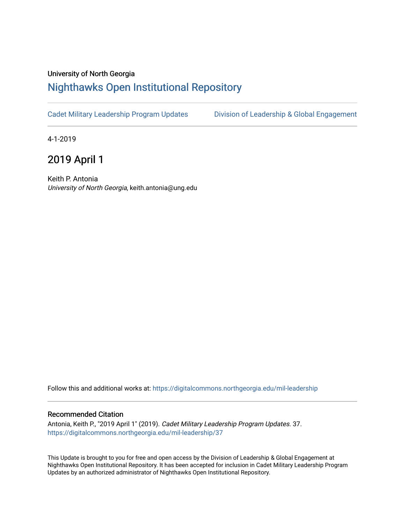## University of North Georgia

## [Nighthawks Open Institutional Repository](https://digitalcommons.northgeorgia.edu/)

[Cadet Military Leadership Program Updates](https://digitalcommons.northgeorgia.edu/mil-leadership) [Division of Leadership & Global Engagement](https://digitalcommons.northgeorgia.edu/leadership) 

4-1-2019

2019 April 1

Keith P. Antonia University of North Georgia, keith.antonia@ung.edu

Follow this and additional works at: [https://digitalcommons.northgeorgia.edu/mil-leadership](https://digitalcommons.northgeorgia.edu/mil-leadership?utm_source=digitalcommons.northgeorgia.edu%2Fmil-leadership%2F37&utm_medium=PDF&utm_campaign=PDFCoverPages) 

## Recommended Citation

Antonia, Keith P., "2019 April 1" (2019). Cadet Military Leadership Program Updates. 37. [https://digitalcommons.northgeorgia.edu/mil-leadership/37](https://digitalcommons.northgeorgia.edu/mil-leadership/37?utm_source=digitalcommons.northgeorgia.edu%2Fmil-leadership%2F37&utm_medium=PDF&utm_campaign=PDFCoverPages)

This Update is brought to you for free and open access by the Division of Leadership & Global Engagement at Nighthawks Open Institutional Repository. It has been accepted for inclusion in Cadet Military Leadership Program Updates by an authorized administrator of Nighthawks Open Institutional Repository.